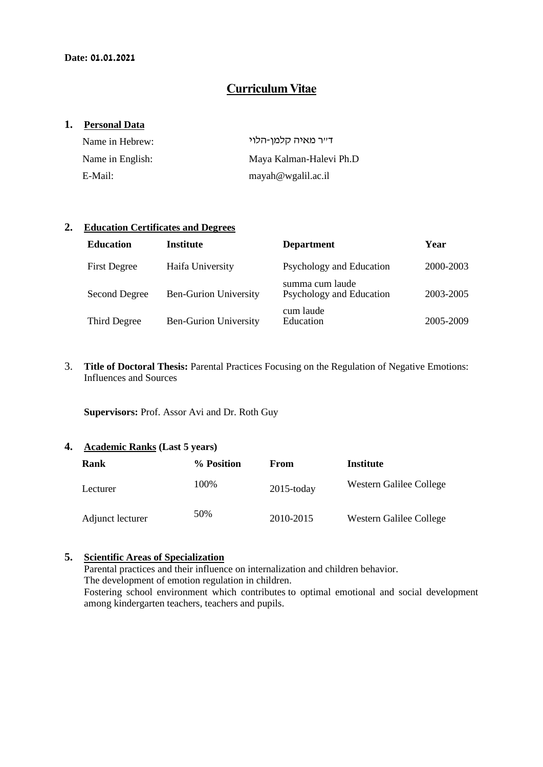## **Curriculum Vitae**

#### **1. Personal Data**

| Name in Hebrew:  | ד״ר מאיה קלמן-הלוי      |
|------------------|-------------------------|
| Name in English: | Maya Kalman-Halevi Ph.D |
| E-Mail:          | mayah@wgalil.ac.i       |

#### **2. Education Certificates and Degrees**

| <b>Education</b>    | <b>Institute</b>             | <b>Department</b>                           | Year      |
|---------------------|------------------------------|---------------------------------------------|-----------|
| <b>First Degree</b> | Haifa University             | Psychology and Education                    | 2000-2003 |
| Second Degree       | <b>Ben-Gurion University</b> | summa cum laude<br>Psychology and Education | 2003-2005 |
| Third Degree        | <b>Ben-Gurion University</b> | cum laude<br>Education                      | 2005-2009 |

3. **Title of Doctoral Thesis:** Parental Practices Focusing on the Regulation of Negative Emotions: Influences and Sources

**Supervisors:** Prof. Assor Avi and Dr. Roth Guy

#### **4. Academic Ranks (Last 5 years)**

| Rank             | % Position | From          | Institute               |
|------------------|------------|---------------|-------------------------|
| Lecturer         | 100%       | $2015$ -today | Western Galilee College |
| Adjunct lecturer | 50%        | 2010-2015     | Western Galilee College |

# **5. Scientific Areas of Specialization**

Parental practices and their influence on internalization and children behavior.

The development of emotion regulation in children.

Fostering school environment which contributes to optimal emotional and social development among kindergarten teachers, teachers and pupils.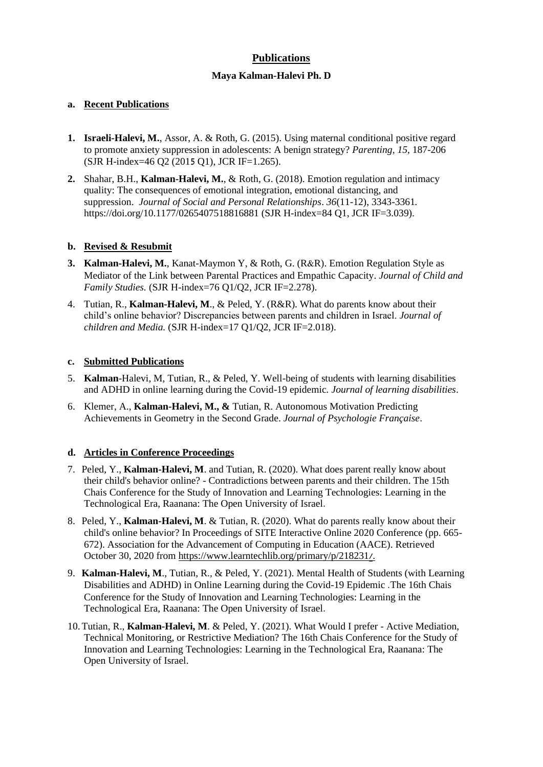### **Publications**

#### **Maya Kalman-Halevi Ph. D**

#### **a. Recent Publications**

- **1. Israeli-Halevi, M.**, Assor, A. & Roth, G. (2015). Using maternal conditional positive regard to promote anxiety suppression in adolescents: A benign strategy? *Parenting, 15*, 187-206 (SJR H-index=46 Q2 (2015 Q1), JCR IF=1.265).
- **2.** Shahar, B.H., **Kalman-Halevi, M.**, & Roth, G. (2018). Emotion regulation and intimacy quality: The consequences of emotional integration, emotional distancing, and suppression. *Journal of Social and Personal Relationships*. *36*(11-12), 3343-3361*.*  https://doi.org/10.1177/0265407518816881 (SJR H-index=84 Q1, JCR IF=3.039).

#### **b. Revised & Resubmit**

- **3. Kalman-Halevi, M.**, Kanat-Maymon Y, & Roth, G. (R&R). Emotion Regulation Style as Mediator of the Link between Parental Practices and Empathic Capacity. *Journal of Child and Family Studies.* (SJR H-index=76 Q1/Q2, JCR IF=2.278).
- 4. Tutian, R., **Kalman-Halevi, M**., & Peled, Y. (R&R). What do parents know about their child's online behavior? Discrepancies between parents and children in Israel. *Journal of children and Media.* (SJR H-index=17 Q1/Q2, JCR IF=2.018).

#### **c. Submitted Publications**

- 5. **Kalman**-Halevi, M, Tutian, R., & Peled, Y. Well-being of students with learning disabilities and ADHD in online learning during the Covid-19 epidemic*. Journal of learning disabilities*.
- 6. Klemer, A., **Kalman-Halevi, M., &** Tutian, R. Autonomous Motivation Predicting Achievements in Geometry in the Second Grade. *Journal of Psychologie Française*.

#### **d. Articles in Conference Proceedings**

- 7. Peled, Y., **Kalman-Halevi, M**. and Tutian, R. (2020). What does parent really know about their child's behavior online? - Contradictions between parents and their children. The 15th Chais Conference for the Study of Innovation and Learning Technologies: Learning in the Technological Era, Raanana: The Open University of Israel .
- 8. Peled, Y., **Kalman-Halevi, M**. & Tutian, R. (2020). What do parents really know about their child's online behavior? In Proceedings of SITE Interactive Online 2020 Conference (pp. 665- 672). Association for the Advancement of Computing in Education (AACE). Retrieved October 30, 2020 from [https://www.learntechlib.org/primary/p/218231](https://www.learntechlib.org/primary/p/218231/)[/](https://www.learntechlib.org/primary/p/218231/).
- 9. **Kalman-Halevi, M**., Tutian, R., & Peled, Y. (2021). Mental Health of Students (with Learning Disabilities and ADHD) in Online Learning during the Covid-19 Epidemic .The 16th Chais Conference for the Study of Innovation and Learning Technologies: Learning in the Technological Era, Raanana: The Open University of Israel .
- 10.Tutian, R., **Kalman-Halevi, M**. & Peled, Y. (2021). What Would I prefer Active Mediation, Technical Monitoring, or Restrictive Mediation? The 16th Chais Conference for the Study of Innovation and Learning Technologies: Learning in the Technological Era, Raanana: The Open University of Israel.